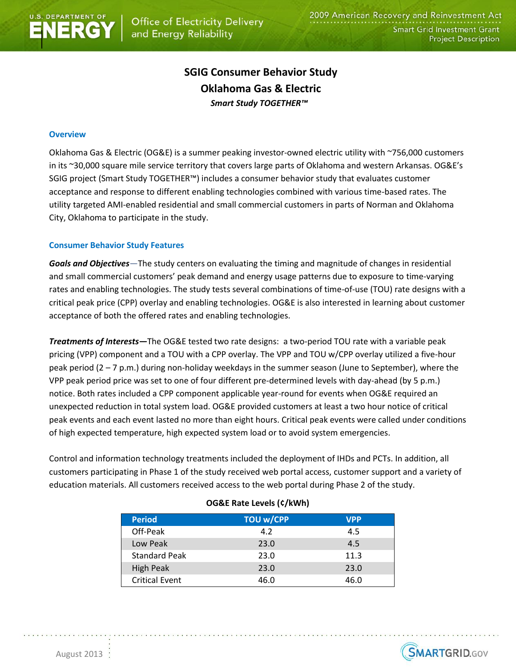

# **SGIG Consumer Behavior Study Oklahoma Gas & Electric** *Smart Study TOGETHER™*

## **Overview**

Oklahoma Gas & Electric (OG&E) is a summer peaking investor-owned electric utility with ~756,000 customers in its ~30,000 square mile service territory that covers large parts of Oklahoma and western Arkansas. OG&E's SGIG project (Smart Study TOGETHER™) includes a consumer behavior study that evaluates customer acceptance and response to different enabling technologies combined with various time-based rates. The utility targeted AMI-enabled residential and small commercial customers in parts of Norman and Oklahoma City, Oklahoma to participate in the study.

### **Consumer Behavior Study Features**

*Goals and Objectives—*The study centers on evaluating the timing and magnitude of changes in residential and small commercial customers' peak demand and energy usage patterns due to exposure to time-varying rates and enabling technologies. The study tests several combinations of time-of-use (TOU) rate designs with a critical peak price (CPP) overlay and enabling technologies. OG&E is also interested in learning about customer acceptance of both the offered rates and enabling technologies.

*Treatments of Interests—*The OG&E tested two rate designs: a two-period TOU rate with a variable peak pricing (VPP) component and a TOU with a CPP overlay. The VPP and TOU w/CPP overlay utilized a five-hour peak period (2 – 7 p.m.) during non-holiday weekdays in the summer season (June to September), where the VPP peak period price was set to one of four different pre-determined levels with day-ahead (by 5 p.m.) notice. Both rates included a CPP component applicable year-round for events when OG&E required an unexpected reduction in total system load. OG&E provided customers at least a two hour notice of critical peak events and each event lasted no more than eight hours. Critical peak events were called under conditions of high expected temperature, high expected system load or to avoid system emergencies.

Control and information technology treatments included the deployment of IHDs and PCTs. In addition, all customers participating in Phase 1 of the study received web portal access, customer support and a variety of education materials. All customers received access to the web portal during Phase 2 of the study.

| <b>Period</b>         | <b>TOU w/CPP</b> | <b>VPP</b> |
|-----------------------|------------------|------------|
| Off-Peak              | 4.2              | 4.5        |
| Low Peak              | 23.0             | 4.5        |
| <b>Standard Peak</b>  | 23.0             | 11.3       |
| <b>High Peak</b>      | 23.0             | 23.0       |
| <b>Critical Event</b> | 46.0             | 46.0       |

#### **OG&E Rate Levels (¢/kWh)**

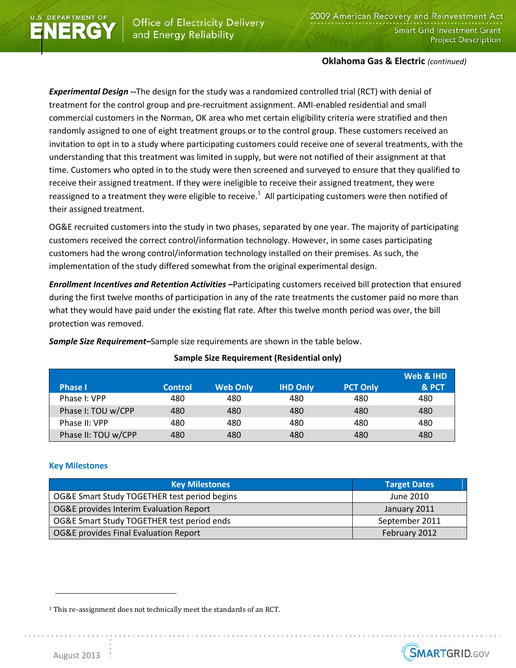# **Oklahoma Gas & Electric** *(continued)*

*Experimental Design --*The design for the study was a randomized controlled trial (RCT) with denial of treatment for the control group and pre-recruitment assignment. AMI-enabled residential and small commercial customers in the Norman, OK area who met certain eligibility criteria were stratified and then randomly assigned to one of eight treatment groups or to the control group. These customers received an invitation to opt in to a study where participating customers could receive one of several treatments, with the understanding that this treatment was limited in supply, but were not notified of their assignment at that time. Customers who opted in to the study were then screened and surveyed to ensure that they qualified to receive their assigned treatment. If they were ineligible to receive their assigned treatment, they were reassigned to a treatment they were eligible to receive.<sup>1</sup> All participating customers were then notified of their assigned treatment.

OG&E recruited customers into the study in two phases, separated by one year. The majority of participating customers received the correct control/information technology. However, in some cases participating customers had the wrong control/information technology installed on their premises. As such, the implementation of the study differed somewhat from the original experimental design.

*Enrollment Incentives and Retention Activities –*Participating customers received bill protection that ensured during the first twelve months of participation in any of the rate treatments the customer paid no more than what they would have paid under the existing flat rate. After this twelve month period was over, the bill protection was removed.

**Sample Size Requirement (Residential only)**

| <b>Phase I</b>      | <b>Control</b> | <b>Web Only</b> | <b>IHD Only</b> | <b>PCT Only</b> | Web & IHD<br>& PCT |
|---------------------|----------------|-----------------|-----------------|-----------------|--------------------|
| Phase I: VPP        | 480            | 480             | 480             | 480             | 480                |
| Phase I: TOU w/CPP  | 480            | 480             | 480             | 480             | 480                |
| Phase II: VPP       | 480            | 480             | 480             | 480             | 480                |
| Phase II: TOU w/CPP | 480            | 480             | 480             | 480             | 480                |

*Sample Size Requirement–*Sample size requirements are shown in the table below.

# **Key Milestones**

| <b>Key Milestones</b>                        | <b>Target Dates</b> |  |
|----------------------------------------------|---------------------|--|
| OG&E Smart Study TOGETHER test period begins | June 2010           |  |
| OG&E provides Interim Evaluation Report      | January 2011        |  |
| OG&E Smart Study TOGETHER test period ends   | September 2011      |  |
| OG&E provides Final Evaluation Report        | February 2012       |  |



 $\overline{a}$ 

<sup>1</sup> This re-assignment does not technically meet the standards of an RCT.